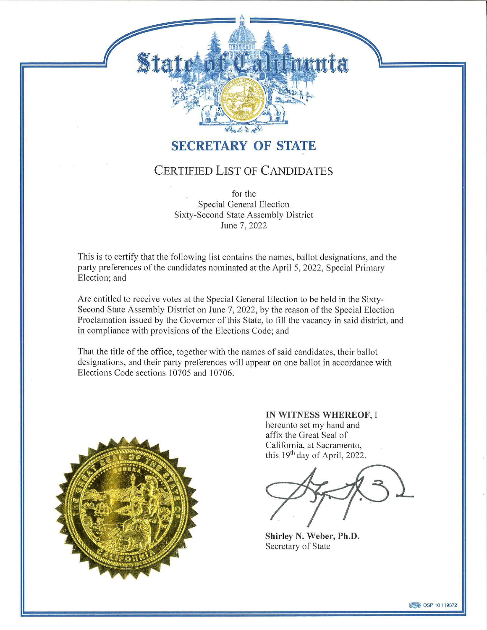## **SECRETARY OF STATE**

 $\sim$   $\,$ 

tate fit California

## CERTIFIED LIST OF CANDIDATES

for the Special General Election Sixty-Second State Assembly District June 7, 2022

This is to certify that the following list contains the names, ballot designations, and the party preferences of the candidates nominated at the April 5, 2022, Special Primary Election; and

Are entitled to receive votes at the Special General Election to be held in the Sixty-Second State Assembly District on June 7, 2022, by the reason of the Special Election Proclamation issued by the Governor of this State, to fill the vacancy in said district, and in compliance with provisions of the Elections Code; and

That the title of the office, together with the names of said candidates, their ballot designations, and their party preferences will appear on one ballot in accordance with Elections Code sections 10705 and 10706.



**IN WITNESS WHEREOF,** 1 hereunto set my hand and affix the Great Seal of California, at Sacramento, this  $19<sup>th</sup>$  day of April, 2022.

**Shirley N. Weber, Ph.D.**  Secretary of State